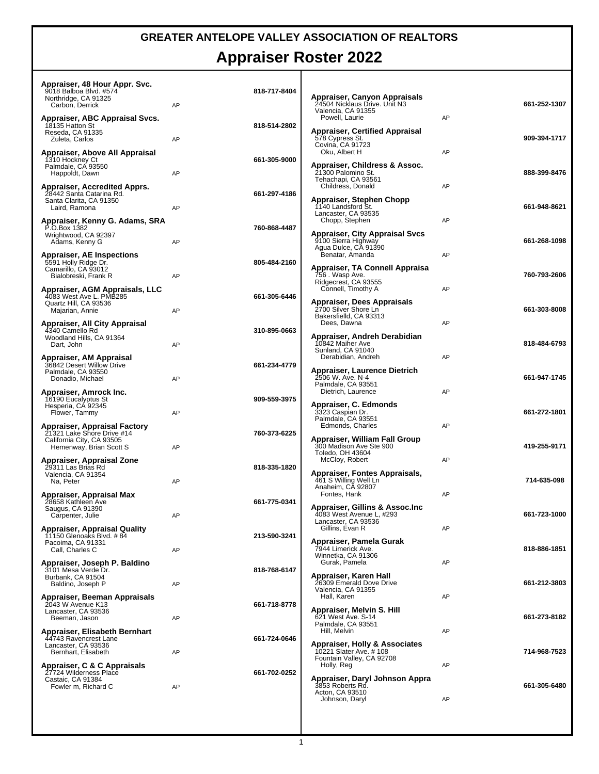## **GREATER ANTELOPE VALLEY ASSOCIATION OF REALTORS**

## **Appraiser Roster 2022**

| Appraiser, 48 Hour Appr. Svc.<br>9018 Balboa Blvd. #574<br>Northridge, CA 91325<br>Carbon, Derrick      | AP | 818-717-8404 | Appraiser, Canyon Appraisals<br>24504 Nicklaus Drive. Unit N3                                 |    | 661-252-1307 |
|---------------------------------------------------------------------------------------------------------|----|--------------|-----------------------------------------------------------------------------------------------|----|--------------|
| Appraiser, ABC Appraisal Svcs.<br>18135 Hatton St                                                       |    | 818-514-2802 | Valencia, CA 91355<br>Powell, Laurie                                                          | AP |              |
| Reseda, CA 91335<br>Zuleta, Carlos                                                                      | AP |              | Appraiser, Certified Appraisal<br>578 Cypress St.<br>Covina, CA 91723<br>Oku, Albert H        | AP | 909-394-1717 |
| Appraiser, Above All Appraisal<br>1310 Hockney Ct<br>Palmdale, CA 93550<br>Happoldt, Dawn               | AP | 661-305-9000 | Appraiser, Childress & Assoc.<br>21300 Palomino St.                                           |    | 888-399-8476 |
| Appraiser, Accredited Apprs.<br>28442 Santa Catarina Rd.<br>Santa Clarita, CA 91350                     |    | 661-297-4186 | Tehachapi, CA 93561<br>Childress, Donald<br>Appraiser, Stephen Chopp                          | AP |              |
| Laird, Ramona<br>Appraiser, Kenny G. Adams, SRA                                                         | AP |              | 1140 Landsford St.<br>Lancaster, CA 93535<br>Chopp, Stephen                                   | AP | 661-948-8621 |
| P.O.Box 1382<br>Wrightwood, CA 92397<br>Adams, Kenny G                                                  | AP | 760-868-4487 | <b>Appraiser, City Appraisal Svcs</b><br>9100 Sierra Highway<br>Agua Dulce, CA 91390          |    | 661-268-1098 |
| <b>Appraiser, AE Inspections</b><br>5591 Holly Ridge Dr.<br>Camarillo, CA 93012<br>Bialobreski, Frank R | AP | 805-484-2160 | Benatar, Amanda<br>Appraiser, TA Connell Appraisa<br>756 . Wasp Ave.                          | AP | 760-793-2606 |
| Appraiser, AGM Appraisals, LLC<br>4083 West Ave L. PMB285                                               |    | 661-305-6446 | Ridgecrest, CA 93555<br>Connell, Timothy A                                                    | AP |              |
| Quartz Hill, CA 93536<br>Majarian, Annie<br>Appraiser, All City Appraisal                               | AP |              | Appraiser, Dees Appraisals<br>2700 Silver Shore Ln<br>Bakersfielld, CA 93313<br>Dees, Dawna   | AP | 661-303-8008 |
| 4340 Camello Rd<br>Woodland Hills, CA 91364<br>Dart, John                                               | AP | 310-895-0663 | Appraiser, Andreh Derabidian<br>10842 Maiher Ave<br>Sunland, CA 91040                         |    | 818-484-6793 |
| Appraiser, AM Appraisal<br>36842 Desert Willow Drive<br>Palmdale, CA 93550<br>Donadio, Michael          | AP | 661-234-4779 | Derabidian, Andreh<br><b>Appraiser, Laurence Dietrich</b><br>2506 W. Ave. N-4                 | AP | 661-947-1745 |
| Appraiser, Amrock Inc.<br>16190 Eucalyptus St<br>Hesperia, CA 92345                                     |    | 909-559-3975 | Palmdale, CA 93551<br>Dietrich, Laurence<br>Appraiser, C. Edmonds<br>3323 Caspian Dr.         | AP | 661-272-1801 |
| Flower, Tammy<br>Appraiser, Appraisal Factory<br>21321 Lake Shore Drive #14                             | AP | 760-373-6225 | Palmdale, CA 93551<br>Edmonds, Charles                                                        | AP |              |
| California City, CA 93505<br>Hemenway, Brian Scott S                                                    | AP |              | Appraiser, William Fall Group<br>300 Madison Ave Ste 900<br>Toledo, OH 43604                  |    | 419-255-9171 |
| Appraiser, Appraisal Zone<br>29311 Las Brias Rd<br>Valencia, CA 91354<br>Na, Peter                      | AP | 818-335-1820 | McCloy, Robert<br>Appraiser, Fontes Appraisals,<br>461 S Willing Well Ln<br>Anaheim, CA 92807 | AP | 714-635-098  |
| Appraiser, Appraisal Max<br>28658 Kathleen Ave<br>Saugus, CA 91390                                      |    | 661-775-0341 | Fontes, Hank<br>Appraiser, Gillins & Assoc.Inc                                                | AP |              |
| Carpenter, Julie<br><b>Appraiser, Appraisal Quality</b><br>11150 Glenoaks Blvd. #84                     | AP | 213-590-3241 | 4083 West Avenue L, #293<br>Lancaster, CA 93536<br>Gillins, Evan R                            | AP | 661-723-1000 |
| Pacoima, CA 91331<br>Call, Charles C                                                                    | AP |              | Appraiser, Pamela Gurak<br>7944 Limerick Ave.<br>Winnetka, CA 91306                           |    | 818-886-1851 |
| Appraiser, Joseph P. Baldino<br>3101 Mesa Verde Dr.<br>Burbank, CA 91504<br>Baldino, Joseph P           | AP | 818-768-6147 | Gurak, Pamela<br>Appraiser. Karen Hall<br>26309 Emerald Dove Drive                            | AP | 661-212-3803 |
| Appraiser, Beeman Appraisals<br>2043 W Avenue K13<br>Lancaster, CA 93536                                |    | 661-718-8778 | Valencia, CA 91355<br>Hall, Karen<br>Appraiser, Melvin S. Hill                                | AP |              |
| Beeman, Jason<br>Appraiser, Elisabeth Bernhart                                                          | AP |              | 621 West Ave. S-14<br>Palmdale, CA 93551<br>Hill, Melvin                                      | AP | 661-273-8182 |
| 44743 Ravencrest Lane<br>Lancaster, CA 93536<br>Bernhart, Elisabeth                                     | AP | 661-724-0646 | Appraiser, Holly & Associates<br>10221 Slater Ave. # 108<br>Fountain Valley, CA 92708         |    | 714-968-7523 |
| Appraiser, C & C Appraisals<br>27724 Wilderness Place<br>Castaic, CA 91384<br>Fowler m, Richard C       | AP | 661-702-0252 | Holly, Reg<br>Appraiser, Daryl Johnson Appra<br>3853 Roberts Rd.                              | AP | 661-305-6480 |
|                                                                                                         |    |              | Acton, CA 93510<br>Johnson, Daryl                                                             | AP |              |
|                                                                                                         |    |              |                                                                                               |    |              |